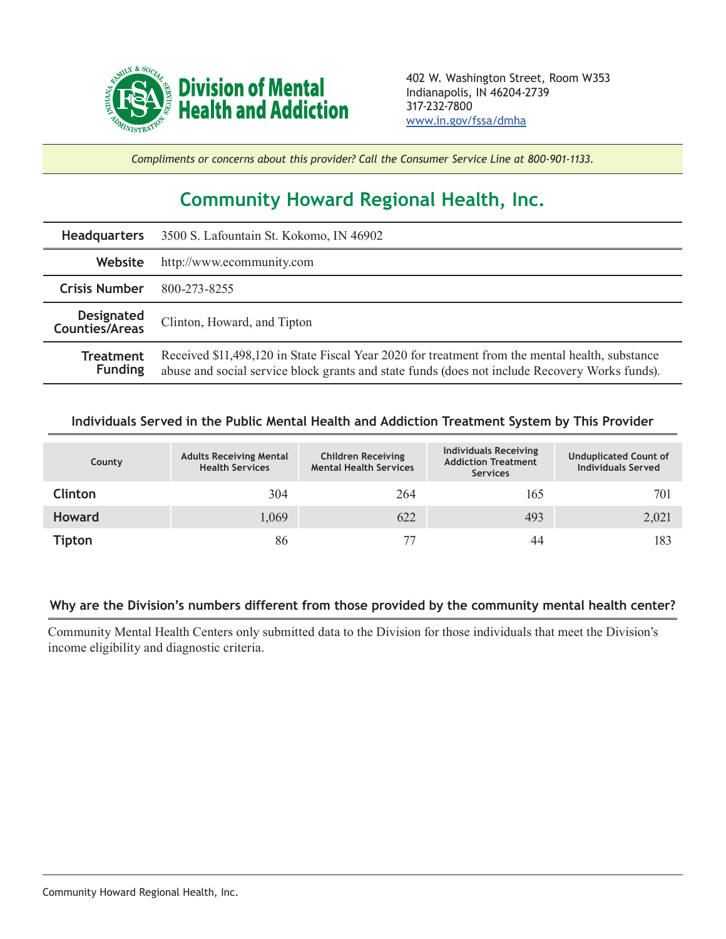

*Compliments or concerns about this provider? Call the Consumer Service Line at 800-901-1133.*

## **Community Howard Regional Health, Inc.**

|                                     | Headquarters 3500 S. Lafountain St. Kokomo, IN 46902                                                                                                                                              |  |  |  |
|-------------------------------------|---------------------------------------------------------------------------------------------------------------------------------------------------------------------------------------------------|--|--|--|
| Website                             | http://www.ecommunity.com                                                                                                                                                                         |  |  |  |
| <b>Crisis Number</b>                | 800-273-8255                                                                                                                                                                                      |  |  |  |
| <b>Designated</b><br>Counties/Areas | Clinton, Howard, and Tipton                                                                                                                                                                       |  |  |  |
| Treatment<br><b>Funding</b>         | Received \$11,498,120 in State Fiscal Year 2020 for treatment from the mental health, substance<br>abuse and social service block grants and state funds (does not include Recovery Works funds). |  |  |  |

## **Individuals Served in the Public Mental Health and Addiction Treatment System by This Provider**

| County         | <b>Adults Receiving Mental</b><br><b>Health Services</b> | <b>Children Receiving</b><br><b>Mental Health Services</b> | <b>Individuals Receiving</b><br><b>Addiction Treatment</b><br><b>Services</b> | <b>Unduplicated Count of</b><br><b>Individuals Served</b> |
|----------------|----------------------------------------------------------|------------------------------------------------------------|-------------------------------------------------------------------------------|-----------------------------------------------------------|
| <b>Clinton</b> | 304                                                      | 264                                                        | 165                                                                           | 701                                                       |
| <b>Howard</b>  | 1,069                                                    | 622                                                        | 493                                                                           | 2,021                                                     |
| <b>Tipton</b>  | 86                                                       |                                                            | 44                                                                            | 183                                                       |

## **Why are the Division's numbers different from those provided by the community mental health center?**

Community Mental Health Centers only submitted data to the Division for those individuals that meet the Division's income eligibility and diagnostic criteria.